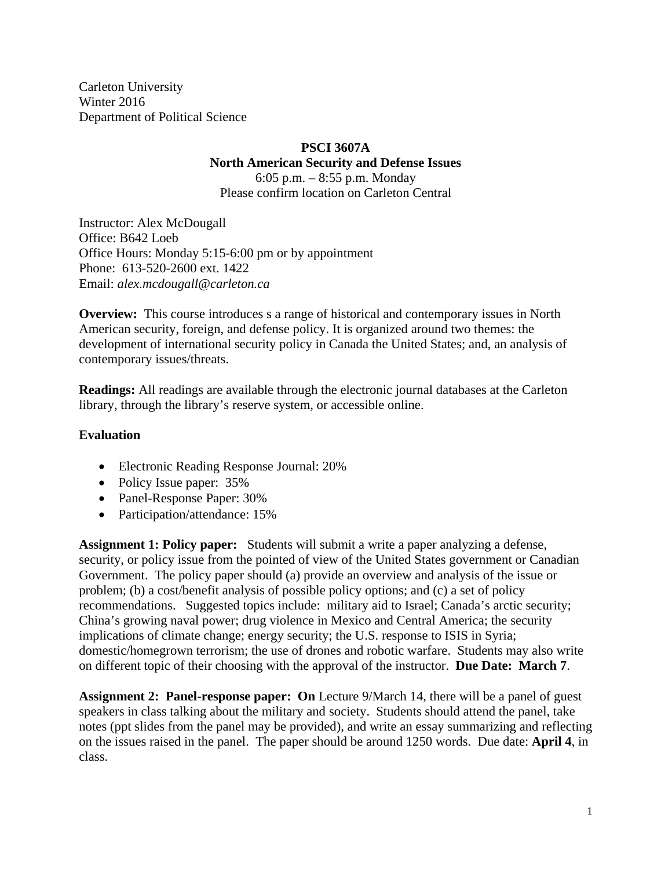Carleton University Winter 2016 Department of Political Science

#### **PSCI 3607A**

**North American Security and Defense Issues** 

6:05 p.m. – 8:55 p.m. Monday Please confirm location on Carleton Central

Instructor: Alex McDougall Office: B642 Loeb Office Hours: Monday 5:15-6:00 pm or by appointment Phone: 613-520-2600 ext. 1422 Email: *alex.mcdougall@carleton.ca* 

**Overview:** This course introduces s a range of historical and contemporary issues in North American security, foreign, and defense policy. It is organized around two themes: the development of international security policy in Canada the United States; and, an analysis of contemporary issues/threats.

**Readings:** All readings are available through the electronic journal databases at the Carleton library, through the library's reserve system, or accessible online.

#### **Evaluation**

- Electronic Reading Response Journal: 20%
- Policy Issue paper: 35%
- Panel-Response Paper: 30%
- Participation/attendance: 15%

**Assignment 1: Policy paper:** Students will submit a write a paper analyzing a defense, security, or policy issue from the pointed of view of the United States government or Canadian Government. The policy paper should (a) provide an overview and analysis of the issue or problem; (b) a cost/benefit analysis of possible policy options; and (c) a set of policy recommendations. Suggested topics include: military aid to Israel; Canada's arctic security; China's growing naval power; drug violence in Mexico and Central America; the security implications of climate change; energy security; the U.S. response to ISIS in Syria; domestic/homegrown terrorism; the use of drones and robotic warfare. Students may also write on different topic of their choosing with the approval of the instructor. **Due Date: March 7**.

**Assignment 2: Panel-response paper: On** Lecture 9/March 14, there will be a panel of guest speakers in class talking about the military and society. Students should attend the panel, take notes (ppt slides from the panel may be provided), and write an essay summarizing and reflecting on the issues raised in the panel. The paper should be around 1250 words. Due date: **April 4**, in class.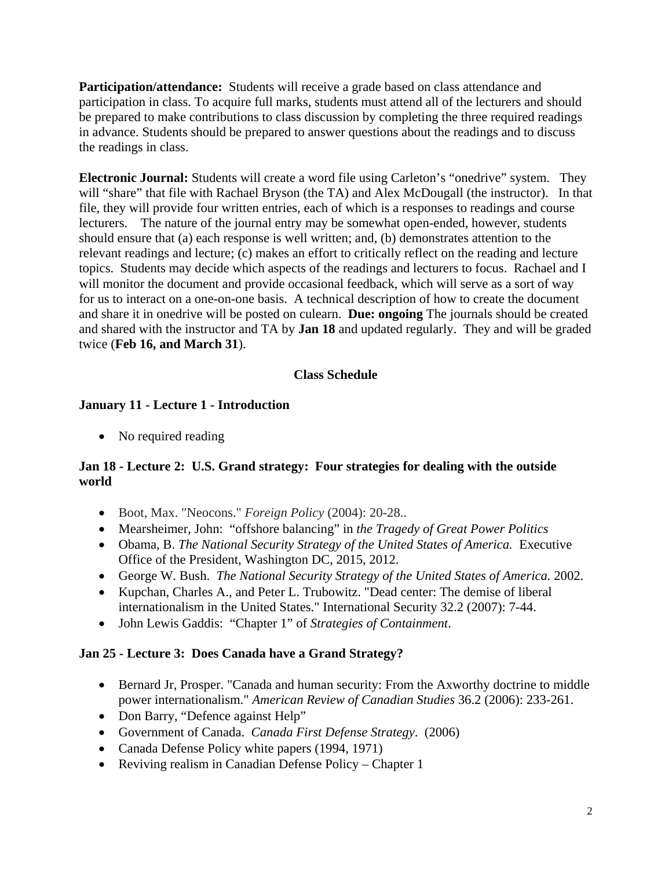**Participation/attendance:** Students will receive a grade based on class attendance and participation in class. To acquire full marks, students must attend all of the lecturers and should be prepared to make contributions to class discussion by completing the three required readings in advance. Students should be prepared to answer questions about the readings and to discuss the readings in class.

**Electronic Journal:** Students will create a word file using Carleton's "onedrive" system. They will "share" that file with Rachael Bryson (the TA) and Alex McDougall (the instructor). In that file, they will provide four written entries, each of which is a responses to readings and course lecturers. The nature of the journal entry may be somewhat open-ended, however, students should ensure that (a) each response is well written; and, (b) demonstrates attention to the relevant readings and lecture; (c) makes an effort to critically reflect on the reading and lecture topics. Students may decide which aspects of the readings and lecturers to focus. Rachael and I will monitor the document and provide occasional feedback, which will serve as a sort of way for us to interact on a one-on-one basis. A technical description of how to create the document and share it in onedrive will be posted on culearn. **Due: ongoing** The journals should be created and shared with the instructor and TA by **Jan 18** and updated regularly. They and will be graded twice (**Feb 16, and March 31**).

#### **Class Schedule**

## **January 11 - Lecture 1 - Introduction**

• No required reading

#### **Jan 18 - Lecture 2: U.S. Grand strategy: Four strategies for dealing with the outside world**

- Boot, Max. "Neocons." *Foreign Policy* (2004): 20-28..
- Mearsheimer, John: "offshore balancing" in *the Tragedy of Great Power Politics*
- Obama, B. *The National Security Strategy of the United States of America.* Executive Office of the President, Washington DC, 2015, 2012.
- George W. Bush. *The National Security Strategy of the United States of America.* 2002.
- Kupchan, Charles A., and Peter L. Trubowitz. "Dead center: The demise of liberal internationalism in the United States." International Security 32.2 (2007): 7-44.
- John Lewis Gaddis: "Chapter 1" of *Strategies of Containment*.

## **Jan 25 - Lecture 3: Does Canada have a Grand Strategy?**

- Bernard Jr, Prosper. "Canada and human security: From the Axworthy doctrine to middle power internationalism." *American Review of Canadian Studies* 36.2 (2006): 233-261.
- Don Barry, "Defence against Help"
- Government of Canada. *Canada First Defense Strategy*. (2006)
- Canada Defense Policy white papers (1994, 1971)
- Reviving realism in Canadian Defense Policy Chapter 1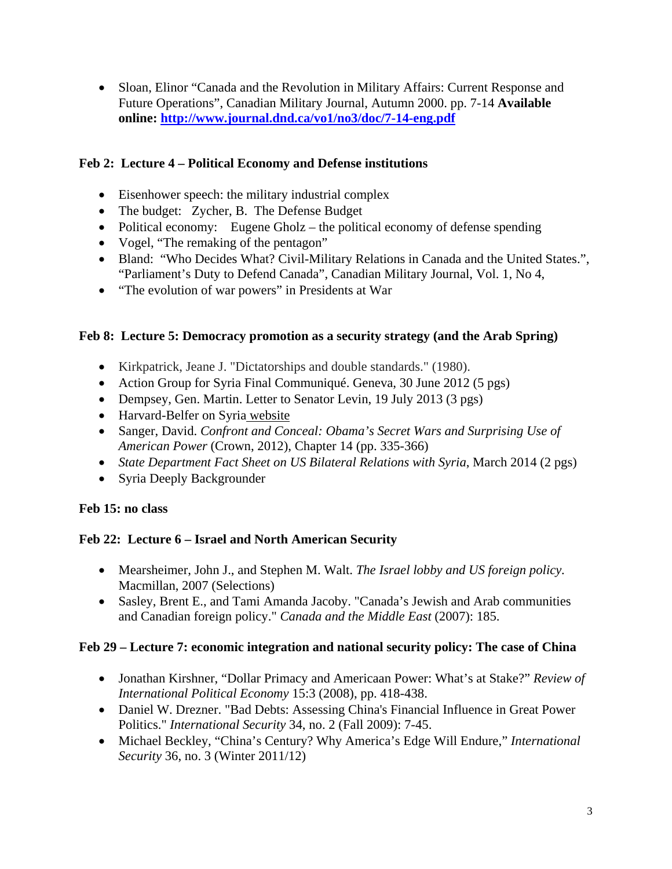Sloan, Elinor "Canada and the Revolution in Military Affairs: Current Response and Future Operations", Canadian Military Journal, Autumn 2000. pp. 7-14 **Available online: http://www.journal.dnd.ca/vo1/no3/doc/7-14-eng.pdf**

## **Feb 2: Lecture 4 – Political Economy and Defense institutions**

- Eisenhower speech: the military industrial complex
- The budget: Zycher, B. The Defense Budget
- Political economy: Eugene Gholz the political economy of defense spending
- Vogel, "The remaking of the pentagon"
- Bland: "Who Decides What? Civil-Military Relations in Canada and the United States.", "Parliament's Duty to Defend Canada", Canadian Military Journal, Vol. 1, No 4,
- "The evolution of war powers" in Presidents at War

#### **Feb 8: Lecture 5: Democracy promotion as a security strategy (and the Arab Spring)**

- Kirkpatrick, Jeane J. "Dictatorships and double standards." (1980).
- Action Group for Syria Final Communiqué. Geneva, 30 June 2012 (5 pgs)
- Dempsey, Gen. Martin. Letter to Senator Levin, 19 July 2013 (3 pgs)
- Harvard-Belfer on Syria website
- Sanger, David. *Confront and Conceal: Obama's Secret Wars and Surprising Use of American Power* (Crown, 2012), Chapter 14 (pp. 335-366)
- *State Department Fact Sheet on US Bilateral Relations with Syria*, March 2014 (2 pgs)
- Syria Deeply Backgrounder

## **Feb 15: no class**

## **Feb 22: Lecture 6 – Israel and North American Security**

- Mearsheimer, John J., and Stephen M. Walt. *The Israel lobby and US foreign policy.* Macmillan, 2007 (Selections)
- Sasley, Brent E., and Tami Amanda Jacoby. "Canada's Jewish and Arab communities and Canadian foreign policy." *Canada and the Middle East* (2007): 185.

## **Feb 29 – Lecture 7: economic integration and national security policy: The case of China**

- Jonathan Kirshner, "Dollar Primacy and Americaan Power: What's at Stake?" *Review of International Political Economy* 15:3 (2008), pp. 418-438.
- Daniel W. Drezner. "Bad Debts: Assessing China's Financial Influence in Great Power Politics." *International Security* 34, no. 2 (Fall 2009): 7-45.
- Michael Beckley, "China's Century? Why America's Edge Will Endure," *International Security* 36, no. 3 (Winter 2011/12)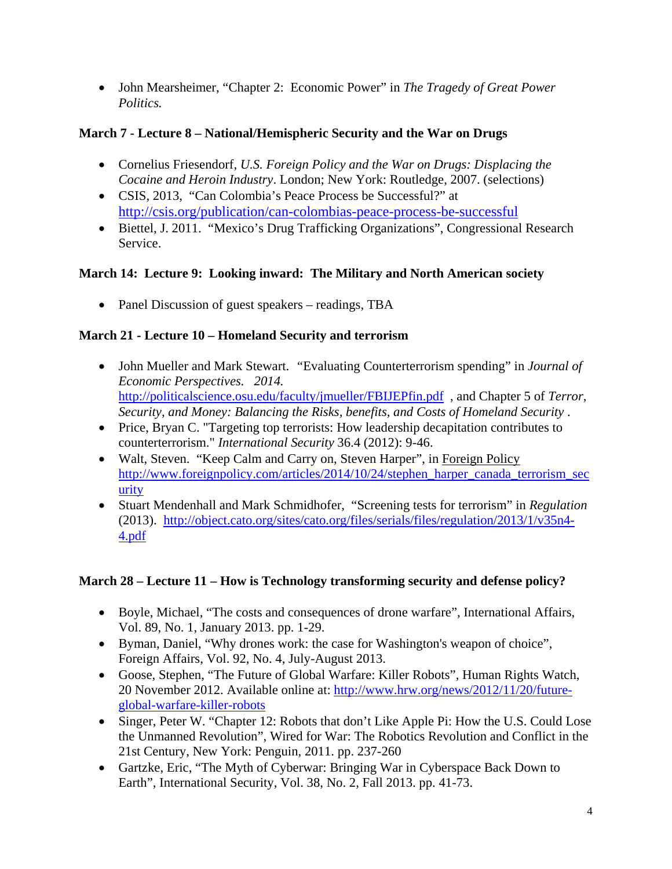John Mearsheimer, "Chapter 2: Economic Power" in *The Tragedy of Great Power Politics.* 

# **March 7 - Lecture 8 – National/Hemispheric Security and the War on Drugs**

- Cornelius Friesendorf, *U.S. Foreign Policy and the War on Drugs: Displacing the Cocaine and Heroin Industry*. London; New York: Routledge, 2007. (selections)
- CSIS, 2013, "Can Colombia's Peace Process be Successful?" at http://csis.org/publication/can-colombias-peace-process-be-successful
- Biettel, J. 2011. "Mexico's Drug Trafficking Organizations", Congressional Research Service.

# **March 14: Lecture 9: Looking inward: The Military and North American society**

• Panel Discussion of guest speakers – readings, TBA

# **March 21 - Lecture 10 – Homeland Security and terrorism**

- John Mueller and Mark Stewart. *"Evaluating Counterterrorism spending" in Journal of Economic Perspectives. 2014.*  http://politicalscience.osu.edu/faculty/jmueller/FBIJEPfin.pdf , and Chapter 5 of *Terror, Security, and Money: Balancing the Risks, benefits, and Costs of Homeland Security* .
- Price, Bryan C. "Targeting top terrorists: How leadership decapitation contributes to counterterrorism." *International Security* 36.4 (2012): 9-46.
- Walt, Steven. "Keep Calm and Carry on, Steven Harper", in Foreign Policy http://www.foreignpolicy.com/articles/2014/10/24/stephen\_harper\_canada\_terrorism\_sec urity
- Stuart Mendenhall and Mark Schmidhofer, "Screening tests for terrorism" in *Regulation*  (2013). http://object.cato.org/sites/cato.org/files/serials/files/regulation/2013/1/v35n4- 4.pdf

# **March 28 – Lecture 11 – How is Technology transforming security and defense policy?**

- Boyle, Michael, "The costs and consequences of drone warfare", International Affairs, Vol. 89, No. 1, January 2013. pp. 1-29.
- Byman, Daniel, "Why drones work: the case for Washington's weapon of choice", Foreign Affairs, Vol. 92, No. 4, July-August 2013.
- Goose, Stephen, "The Future of Global Warfare: Killer Robots", Human Rights Watch, 20 November 2012. Available online at: http://www.hrw.org/news/2012/11/20/futureglobal-warfare-killer-robots
- Singer, Peter W. "Chapter 12: Robots that don't Like Apple Pi: How the U.S. Could Lose the Unmanned Revolution", Wired for War: The Robotics Revolution and Conflict in the 21st Century, New York: Penguin, 2011. pp. 237-260
- Gartzke, Eric, "The Myth of Cyberwar: Bringing War in Cyberspace Back Down to Earth", International Security, Vol. 38, No. 2, Fall 2013. pp. 41-73.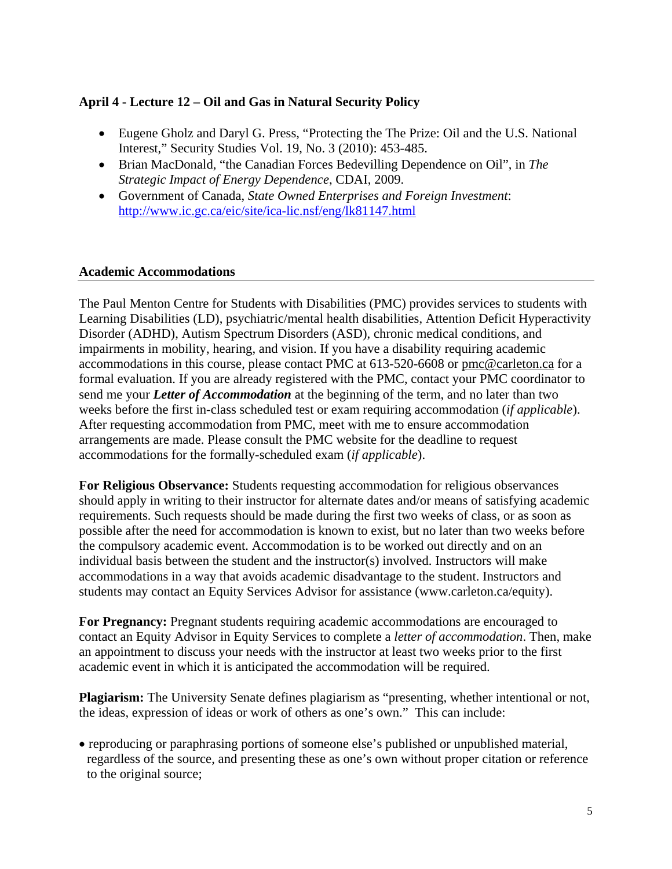#### **April 4 - Lecture 12 – Oil and Gas in Natural Security Policy**

- Eugene Gholz and Daryl G. Press, "Protecting the The Prize: Oil and the U.S. National Interest," Security Studies Vol. 19, No. 3 (2010): 453-485.
- Brian MacDonald, "the Canadian Forces Bedevilling Dependence on Oil", in *The Strategic Impact of Energy Dependence*, CDAI, 2009.
- Government of Canada, *State Owned Enterprises and Foreign Investment*: http://www.ic.gc.ca/eic/site/ica-lic.nsf/eng/lk81147.html

#### **Academic Accommodations**

The Paul Menton Centre for Students with Disabilities (PMC) provides services to students with Learning Disabilities (LD), psychiatric/mental health disabilities, Attention Deficit Hyperactivity Disorder (ADHD), Autism Spectrum Disorders (ASD), chronic medical conditions, and impairments in mobility, hearing, and vision. If you have a disability requiring academic accommodations in this course, please contact PMC at 613-520-6608 or pmc@carleton.ca for a formal evaluation. If you are already registered with the PMC, contact your PMC coordinator to send me your *Letter of Accommodation* at the beginning of the term, and no later than two weeks before the first in-class scheduled test or exam requiring accommodation (*if applicable*). After requesting accommodation from PMC, meet with me to ensure accommodation arrangements are made. Please consult the PMC website for the deadline to request accommodations for the formally-scheduled exam (*if applicable*).

**For Religious Observance:** Students requesting accommodation for religious observances should apply in writing to their instructor for alternate dates and/or means of satisfying academic requirements. Such requests should be made during the first two weeks of class, or as soon as possible after the need for accommodation is known to exist, but no later than two weeks before the compulsory academic event. Accommodation is to be worked out directly and on an individual basis between the student and the instructor(s) involved. Instructors will make accommodations in a way that avoids academic disadvantage to the student. Instructors and students may contact an Equity Services Advisor for assistance (www.carleton.ca/equity).

**For Pregnancy:** Pregnant students requiring academic accommodations are encouraged to contact an Equity Advisor in Equity Services to complete a *letter of accommodation*. Then, make an appointment to discuss your needs with the instructor at least two weeks prior to the first academic event in which it is anticipated the accommodation will be required.

**Plagiarism:** The University Senate defines plagiarism as "presenting, whether intentional or not, the ideas, expression of ideas or work of others as one's own." This can include:

 reproducing or paraphrasing portions of someone else's published or unpublished material, regardless of the source, and presenting these as one's own without proper citation or reference to the original source;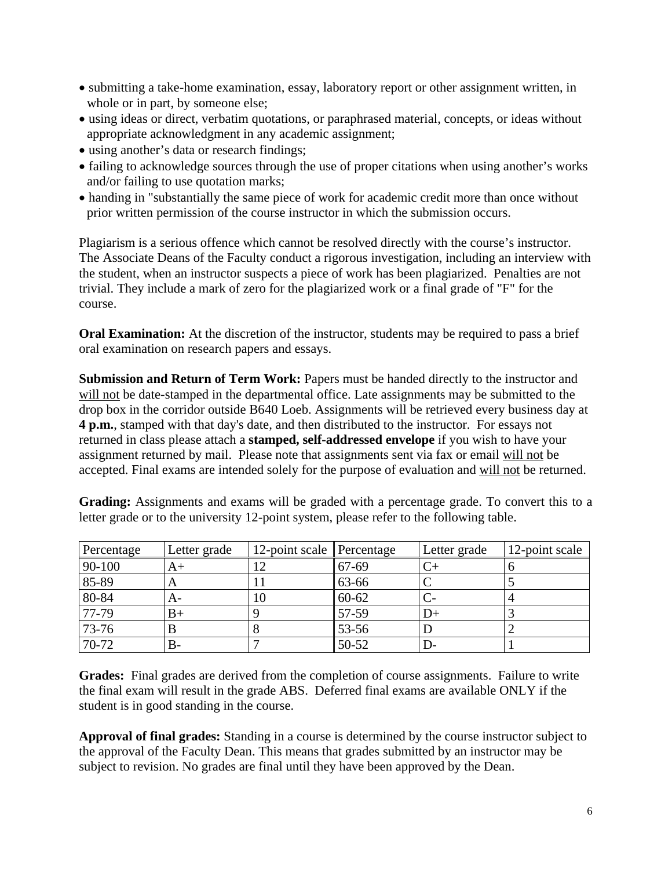- submitting a take-home examination, essay, laboratory report or other assignment written, in whole or in part, by someone else;
- using ideas or direct, verbatim quotations, or paraphrased material, concepts, or ideas without appropriate acknowledgment in any academic assignment;
- using another's data or research findings;
- failing to acknowledge sources through the use of proper citations when using another's works and/or failing to use quotation marks;
- handing in "substantially the same piece of work for academic credit more than once without prior written permission of the course instructor in which the submission occurs.

Plagiarism is a serious offence which cannot be resolved directly with the course's instructor. The Associate Deans of the Faculty conduct a rigorous investigation, including an interview with the student, when an instructor suspects a piece of work has been plagiarized. Penalties are not trivial. They include a mark of zero for the plagiarized work or a final grade of "F" for the course.

**Oral Examination:** At the discretion of the instructor, students may be required to pass a brief oral examination on research papers and essays.

**Submission and Return of Term Work:** Papers must be handed directly to the instructor and will not be date-stamped in the departmental office. Late assignments may be submitted to the drop box in the corridor outside B640 Loeb. Assignments will be retrieved every business day at **4 p.m.**, stamped with that day's date, and then distributed to the instructor. For essays not returned in class please attach a **stamped, self-addressed envelope** if you wish to have your assignment returned by mail. Please note that assignments sent via fax or email will not be accepted. Final exams are intended solely for the purpose of evaluation and will not be returned.

Grading: Assignments and exams will be graded with a percentage grade. To convert this to a letter grade or to the university 12-point system, please refer to the following table.

| Percentage | Letter grade | 12-point scale Percentage |           | Letter grade | 12-point scale |
|------------|--------------|---------------------------|-----------|--------------|----------------|
| 90-100     | A+           |                           | 67-69     |              |                |
| 85-89      | $\Delta$     |                           | 63-66     |              |                |
| $80 - 84$  | A-           | 10                        | $60 - 62$ |              |                |
| 77-79      | B+           |                           | 57-59     |              |                |
| 73-76      |              |                           | 53-56     |              |                |
| 70-72      | В-           |                           | $50 - 52$ |              |                |

**Grades:** Final grades are derived from the completion of course assignments. Failure to write the final exam will result in the grade ABS. Deferred final exams are available ONLY if the student is in good standing in the course.

**Approval of final grades:** Standing in a course is determined by the course instructor subject to the approval of the Faculty Dean. This means that grades submitted by an instructor may be subject to revision. No grades are final until they have been approved by the Dean.